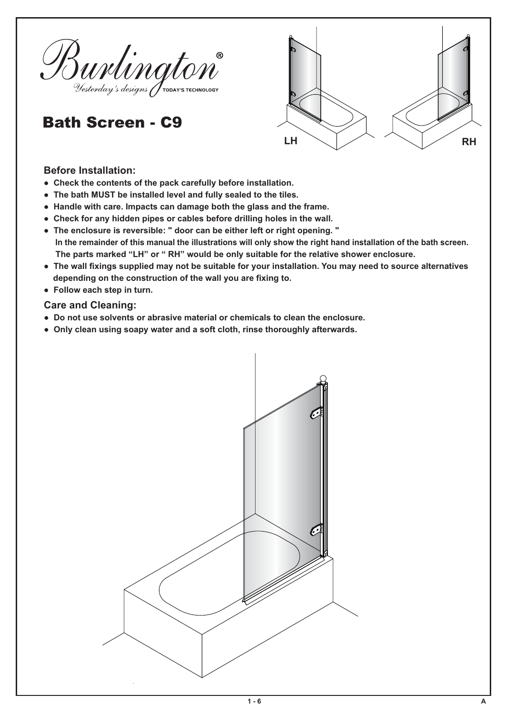

## Bath Screen - C9



## **Before Installation:**

- Check the contents of the pack carefully before installation.
- The bath MUST be installed level and fully sealed to the tiles.
- Handle with care. Impacts can damage both the glass and the frame.
- Check for any hidden pipes or cables before drilling holes in the wall.
- The enclosure is reversible: " door can be either left or right opening. " In the remainder of this manual the illustrations will only show the right hand installation of the bath screen. The parts marked "LH" or "RH" would be only suitable for the relative shower enclosure.
- The wall fixings supplied may not be suitable for your installation. You may need to source alternatives depending on the construction of the wall you are fixing to.
- **Follow each step in turn.**

## **Care and Cleaning:**

- Do not use solvents or abrasive material or chemicals to clean the enclosure.
- Only clean using soapy water and a soft cloth, rinse thoroughly afterwards.

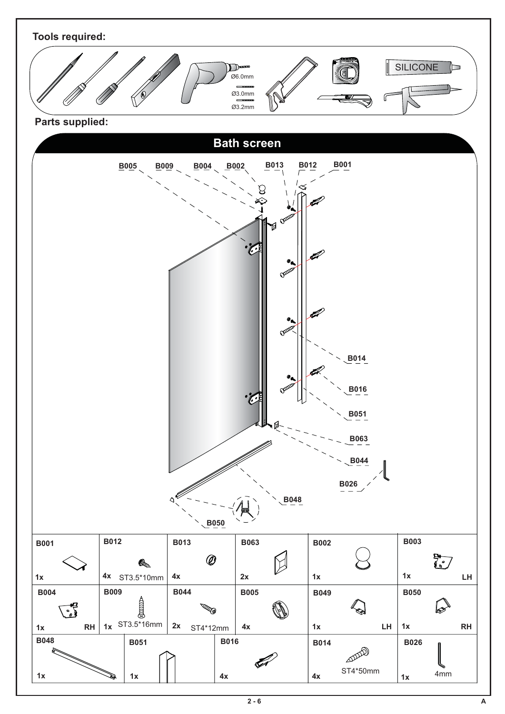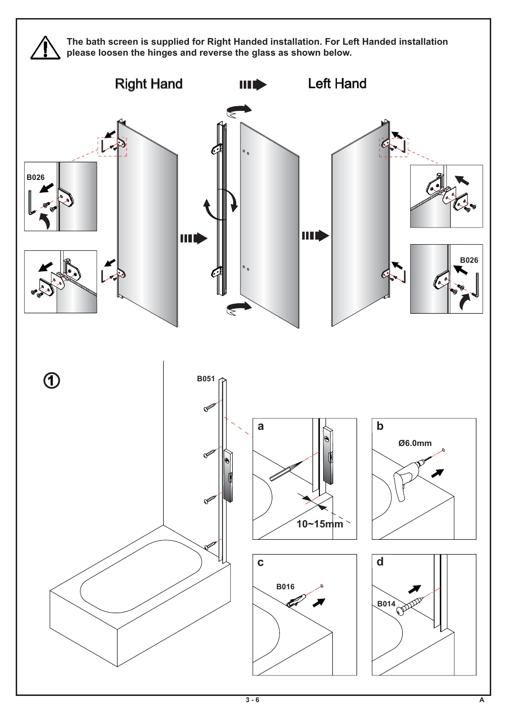

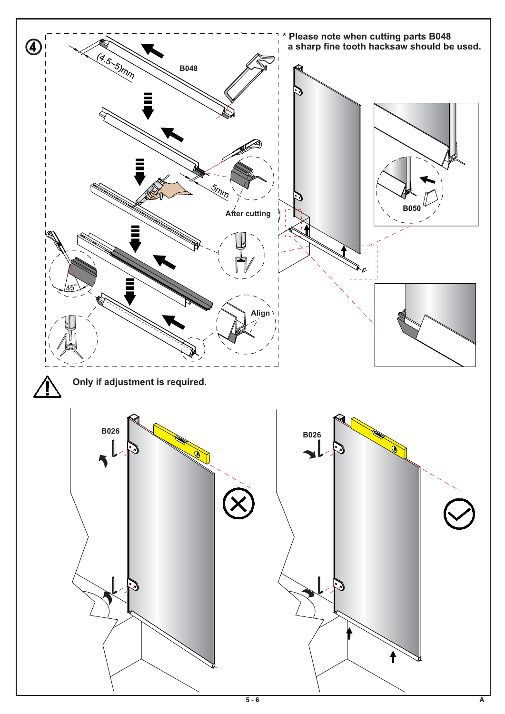